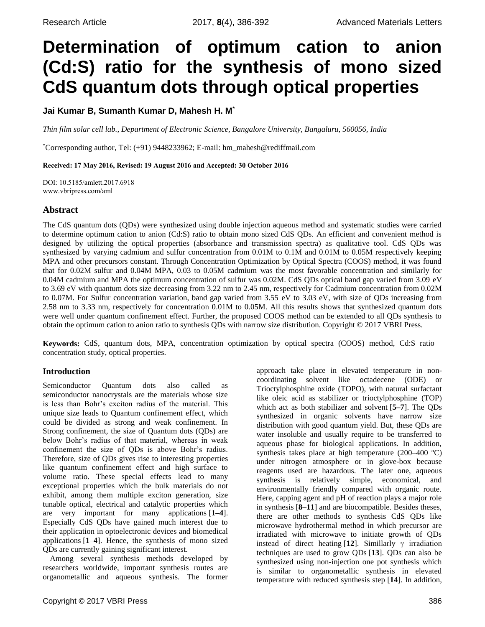# **Determination of optimum cation to anion (Cd:S) ratio for the synthesis of mono sized CdS quantum dots through optical properties**

**Jai Kumar B, Sumanth Kumar D, Mahesh H. M\***

*Thin film solar cell lab., Department of Electronic Science, Bangalore University, Bangaluru, 560056, India*

\*Corresponding author, Tel: (+91) 9448233962; E-mail: [hm\\_mahesh@rediffmail.com](mailto:hm_mahesh@rediffmail.com)

Received: 17 May 2016, Revised: 19 August 2016 and Accepted: 30 October 2016

DOI: 10.5185/amlett.2017.6918 www.vbripress.com/aml

# **Abstract**

The CdS quantum dots (QDs) were synthesized using double injection aqueous method and systematic studies were carried to determine optimum cation to anion (Cd:S) ratio to obtain mono sized CdS QDs. An efficient and convenient method is designed by utilizing the optical properties (absorbance and transmission spectra) as qualitative tool. CdS QDs was synthesized by varying cadmium and sulfur concentration from 0.01M to 0.1M and 0.01M to 0.05M respectively keeping MPA and other precursors constant. Through Concentration Optimization by Optical Spectra (COOS) method, it was found that for 0.02M sulfur and 0.04M MPA, 0.03 to 0.05M cadmium was the most favorable concentration and similarly for 0.04M cadmium and MPA the optimum concentration of sulfur was 0.02M. CdS QDs optical band gap varied from 3.09 eV to 3.69 eV with quantum dots size decreasing from 3.22 nm to 2.45 nm, respectively for Cadmium concentration from 0.02M to 0.07M. For Sulfur concentration variation, band gap varied from 3.55 eV to 3.03 eV, with size of QDs increasing from 2.58 nm to 3.33 nm, respectively for concentration 0.01M to 0.05M. All this results shows that synthesized quantum dots were well under quantum confinement effect. Further, the proposed COOS method can be extended to all QDs synthesis to obtain the optimum cation to anion ratio to synthesis QDs with narrow size distribution. Copyright © 2017 VBRI Press.

**Keywords:** CdS, quantum dots, MPA, concentration optimization by optical spectra (COOS) method, Cd:S ratio concentration study, optical properties.

# **Introduction**

Semiconductor Quantum dots also called as semiconductor nanocrystals are the materials whose size is less than Bohr's exciton radius of the material. This unique size leads to Quantum confinement effect, which could be divided as strong and weak confinement. In Strong confinement, the size of Quantum dots (QDs) are below Bohr's radius of that material, whereas in weak confinement the size of QDs is above Bohr's radius. Therefore, size of QDs gives rise to interesting properties like quantum confinement effect and high surface to volume ratio. These special effects lead to many exceptional properties which the bulk materials do not exhibit, among them multiple exciton generation, size tunable optical, electrical and catalytic properties which are very important for many applications [**1–4**]. Especially CdS QDs have gained much interest due to their application in optoelectronic devices and biomedical applications [**1**–**4**]. Hence, the synthesis of mono sized QDs are currently gaining significant interest.

Among several synthesis methods developed by researchers worldwide, important synthesis routes are organometallic and aqueous synthesis. The former approach take place in elevated temperature in noncoordinating solvent like octadecene (ODE) or Trioctylphosphine oxide (TOPO), with natural surfactant like oleic acid as stabilizer or trioctylphosphine (TOP) which act as both stabilizer and solvent [**5–7**]. The QDs synthesized in organic solvents have narrow size distribution with good quantum yield. But, these QDs are water insoluble and usually require to be transferred to aqueous phase for biological applications. In addition, synthesis takes place at high temperature (200–400 ºC) under nitrogen atmosphere or in glove-box because reagents used are hazardous. The later one, aqueous synthesis is relatively simple, economical, and environmentally friendly compared with organic route. Here, capping agent and pH of reaction plays a major role in synthesis [**8–11**] and are biocompatible. Besides theses, there are other methods to synthesis CdS QDs like microwave hydrothermal method in which precursor are irradiated with microwave to initiate growth of QDs instead of direct heating [**12**]. Simillarly γ irradiation techniques are used to grow QDs [**13**]. QDs can also be synthesized using non-injection one pot synthesis which is similar to organometallic synthesis in elevated temperature with reduced synthesis step [**14**]. In addition,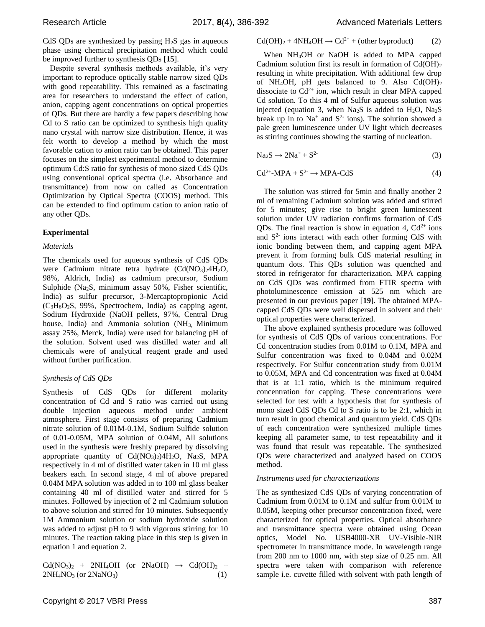CdS QDs are synthesized by passing  $H_2S$  gas in aqueous phase using chemical precipitation method which could be improved further to synthesis QDs [**15**].

Despite several synthesis methods available, it's very important to reproduce optically stable narrow sized QDs with good repeatability. This remained as a fascinating area for researchers to understand the effect of cation, anion, capping agent concentrations on optical properties of QDs. But there are hardly a few papers describing how Cd to S ratio can be optimized to synthesis high quality nano crystal with narrow size distribution. Hence, it was felt worth to develop a method by which the most favorable cation to anion ratio can be obtained. This paper focuses on the simplest experimental method to determine optimum Cd:S ratio for synthesis of mono sized CdS QDs using conventional optical spectra (i.e. Absorbance and transmittance) from now on called as Concentration Optimization by Optical Spectra (COOS) method. This can be extended to find optimum cation to anion ratio of any other QDs.

## **Experimental**

## *Materials*

The chemicals used for aqueous synthesis of CdS QDs were Cadmium nitrate tetra hydrate  $(Cd(NO<sub>3</sub>)<sub>2</sub>4H<sub>2</sub>O,$ 98%, Aldrich, India) as cadmium precursor, Sodium Sulphide (Na<sub>2</sub>S, minimum assay 50%, Fisher scientific, India) as sulfur precursor, 3-Mercaptopropionic Acid  $(C_3H_6O_2S, 99\%$ , Spectrochem, India) as capping agent, Sodium Hydroxide (NaOH pellets, 97%, Central Drug house, India) and Ammonia solution  $(NH<sub>3</sub>$  Minimum assay 25%, Merck, India) were used for balancing pH of the solution. Solvent used was distilled water and all chemicals were of analytical reagent grade and used without further purification.

## *Synthesis of CdS QDs*

Synthesis of CdS QDs for different molarity concentration of Cd and S ratio was carried out using double injection aqueous method under ambient atmosphere. First stage consists of preparing Cadmium nitrate solution of 0.01M-0.1M, Sodium Sulfide solution of 0.01-0.05M, MPA solution of 0.04M, All solutions used in the synthesis were freshly prepared by dissolving appropriate quantity of  $Cd(NO<sub>3</sub>)<sub>2</sub>)4H<sub>2</sub>O$ ,  $Na<sub>2</sub>S$ , MPA respectively in 4 ml of distilled water taken in 10 ml glass beakers each. In second stage, 4 ml of above prepared 0.04M MPA solution was added in to 100 ml glass beaker containing 40 ml of distilled water and stirred for 5 minutes. Followed by injection of 2 ml Cadmium solution to above solution and stirred for 10 minutes. Subsequently 1M Ammonium solution or sodium hydroxide solution was added to adjust pH to 9 with vigorous stirring for 10 minutes. The reaction taking place in this step is given in equation 1 and equation 2.

 $Cd(NO<sub>3</sub>)<sub>2</sub> + 2NH<sub>4</sub>OH$  (or  $2NaOH$ )  $\rightarrow$   $Cd(OH)<sub>2</sub> +$  $2NH_4NO_3$  (or  $2NaNO_3$ ) (1)

# $Cd(OH)<sub>2</sub> + 4NH<sub>4</sub>OH \rightarrow Cd<sup>2+</sup> + (other byproduct)$  (2)

When NH4OH or NaOH is added to MPA capped Cadmium solution first its result in formation of  $Cd(OH)_2$ resulting in white precipitation. With additional few drop of NH4OH, pH gets balanced to 9. Also Cd(OH)<sup>2</sup> dissociate to  $Cd^{2+}$  ion, which result in clear MPA capped Cd solution. To this 4 ml of Sulfur aqueous solution was injected (equation 3, when  $Na<sub>2</sub>S$  is added to  $H<sub>2</sub>O$ ,  $Na<sub>2</sub>S$ break up in to  $Na^+$  and  $S^2$  ions). The solution showed a pale green luminescence under UV light which decreases as stirring continues showing the starting of nucleation.

$$
Na_2S \to 2Na^+ + S^2
$$
 (3)

$$
Cd^{2+}-MPA + S^{2-} \rightarrow MPA-CdS
$$
 (4)

The solution was stirred for 5min and finally another 2 ml of remaining Cadmium solution was added and stirred for 5 minutes; give rise to bright green luminescent solution under UV radiation confirms formation of CdS QDs. The final reaction is show in equation 4,  $Cd^{2+}$  ions and  $S<sup>2</sup>$  ions interact with each other forming CdS with ionic bonding between them, and capping agent MPA prevent it from forming bulk CdS material resulting in quantum dots. This QDs solution was quenched and stored in refrigerator for characterization. MPA capping on CdS QDs was confirmed from FTIR spectra with photoluminescence emission at 525 nm which are presented in our previous paper [**19**]. The obtained MPAcapped CdS QDs were well dispersed in solvent and their optical properties were characterized.

The above explained synthesis procedure was followed for synthesis of CdS QDs of various concentrations. For Cd concentration studies from 0.01M to 0.1M, MPA and Sulfur concentration was fixed to 0.04M and 0.02M respectively. For Sulfur concentration study from 0.01M to 0.05M, MPA and Cd concentration was fixed at 0.04M that is at 1:1 ratio, which is the minimum required concentration for capping. These concentrations were selected for test with a hypothesis that for synthesis of mono sized CdS QDs Cd to S ratio is to be 2:1, which in turn result in good chemical and quantum yield. CdS QDs of each concentration were synthesized multiple times keeping all parameter same, to test repeatability and it was found that result was repeatable. The synthesized QDs were characterized and analyzed based on COOS method.

## *Instruments used for characterizations*

The as synthesized CdS QDs of varying concentration of Cadmium from 0.01M to 0.1M and sulfur from 0.01M to 0.05M, keeping other precursor concentration fixed, were characterized for optical properties. Optical absorbance and transmittance spectra were obtained using Ocean optics, Model No. USB4000-XR UV-Visible-NIR spectrometer in transmittance mode. In wavelength range from 200 nm to 1000 nm, with step size of 0.25 nm. All spectra were taken with comparison with reference sample i.e. cuvette filled with solvent with path length of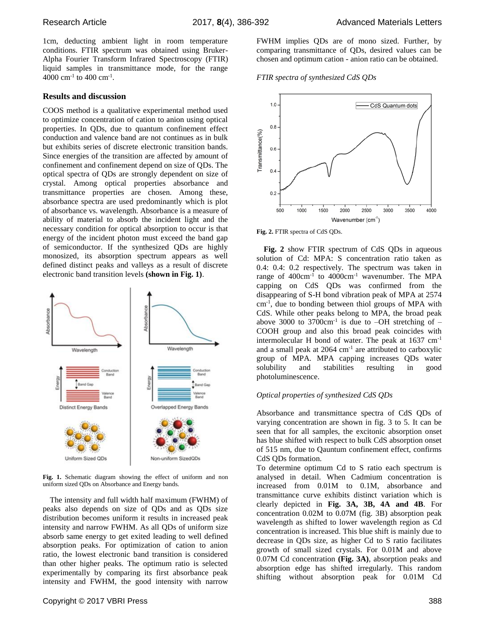1cm, deducting ambient light in room temperature conditions. FTIR spectrum was obtained using Bruker-Alpha Fourier Transform Infrared Spectroscopy (FTIR) liquid samples in transmittance mode, for the range  $4000 \text{ cm}^{-1}$  to  $400 \text{ cm}^{-1}$ .

#### **Results and discussion**

COOS method is a qualitative experimental method used to optimize concentration of cation to anion using optical properties. In QDs, due to quantum confinement effect conduction and valence band are not continues as in bulk but exhibits series of discrete electronic transition bands. Since energies of the transition are affected by amount of confinement and confinement depend on size of QDs. The optical spectra of QDs are strongly dependent on size of crystal. Among optical properties absorbance and transmittance properties are chosen. Among these, absorbance spectra are used predominantly which is plot of absorbance vs. wavelength. Absorbance is a measure of ability of material to absorb the incident light and the necessary condition for optical absorption to occur is that energy of the incident photon must exceed the band gap of semiconductor. If the synthesized QDs are highly monosized, its absorption spectrum appears as well defined distinct peaks and valleys as a result of discrete electronic band transition levels **(shown in Fig. 1)**.



**Fig. 1.** Schematic diagram showing the effect of uniform and non uniform sized QDs on Absorbance and Energy bands.

The intensity and full width half maximum (FWHM) of peaks also depends on size of QDs and as QDs size distribution becomes uniform it results in increased peak intensity and narrow FWHM. As all QDs of uniform size absorb same energy to get exited leading to well defined absorption peaks. For optimization of cation to anion ratio, the lowest electronic band transition is considered than other higher peaks. The optimum ratio is selected experimentally by comparing its first absorbance peak intensity and FWHM, the good intensity with narrow FWHM implies QDs are of mono sized. Further, by comparing transmittance of QDs, desired values can be chosen and optimum cation - anion ratio can be obtained.

#### *FTIR spectra of synthesized CdS QDs*



**Fig. 2.** FTIR spectra of CdS QDs.

**Fig. 2** show FTIR spectrum of CdS QDs in aqueous solution of Cd: MPA: S concentration ratio taken as 0.4: 0.4: 0.2 respectively. The spectrum was taken in range of  $400 \text{cm}^{-1}$  to  $4000 \text{cm}^{-1}$  wavenumber. The MPA capping on CdS QDs was confirmed from the disappearing of S-H bond vibration peak of MPA at 2574 cm-1 , due to bonding between thiol groups of MPA with CdS. While other peaks belong to MPA, the broad peak above 3000 to 3700 $cm^{-1}$  is due to  $-OH$  stretching of  $-$ COOH group and also this broad peak coincides with intermolecular H bond of water. The peak at 1637 cm-1 and a small peak at 2064 cm<sup>-1</sup> are attributed to carboxylic group of MPA. MPA capping increases QDs water solubility and stabilities resulting in good photoluminescence.

## *Optical properties of synthesized CdS QDs*

Absorbance and transmittance spectra of CdS QDs of varying concentration are shown in fig. 3 to 5. It can be seen that for all samples, the excitonic absorption onset has blue shifted with respect to bulk CdS absorption onset of 515 nm, due to Qauntum confinement effect, confirms CdS QDs formation.

To determine optimum Cd to S ratio each spectrum is analysed in detail. When Cadmium concentration is increased from 0.01M to 0.1M, absorbance and transmittance curve exhibits distinct variation which is clearly depicted in **Fig. 3A, 3B, 4A and 4B**. For concentration 0.02M to 0.07M (fig. 3B) absorption peak wavelength as shifted to lower wavelength region as Cd concentration is increased. This blue shift is mainly due to decrease in QDs size, as higher Cd to S ratio facilitates growth of small sized crystals. For 0.01M and above 0.07M Cd concentration **(Fig. 3A)**, absorption peaks and absorption edge has shifted irregularly. This random shifting without absorption peak for 0.01M Cd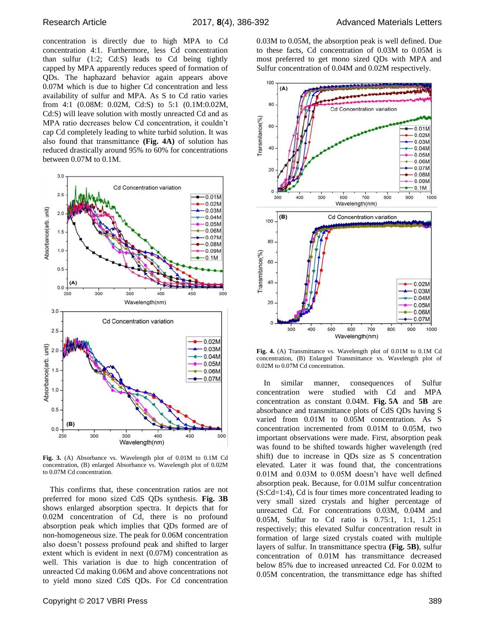concentration is directly due to high MPA to Cd concentration 4:1. Furthermore, less Cd concentration than sulfur (1:2; Cd:S) leads to Cd being tightly capped by MPA apparently reduces speed of formation of QDs. The haphazard behavior again appears above 0.07M which is due to higher Cd concentration and less availability of sulfur and MPA. As S to Cd ratio varies from 4:1 (0.08M: 0.02M, Cd:S) to 5:1 (0.1M:0.02M, Cd:S) will leave solution with mostly unreacted Cd and as MPA ratio decreases below Cd concentration, it couldn't cap Cd completely leading to white turbid solution. It was also found that transmittance **(Fig. 4A)** of solution has reduced drastically around 95% to 60% for concentrations between 0.07M to 0.1M.



**Fig. 3.** (A) Absorbance vs. Wavelength plot of 0.01M to 0.1M Cd concentration, (B) enlarged Absorbance vs. Wavelength plot of 0.02M to 0.07M Cd concentration.

This confirms that, these concentration ratios are not preferred for mono sized CdS QDs synthesis. **Fig. 3B** shows enlarged absorption spectra. It depicts that for 0.02M concentration of Cd, there is no profound absorption peak which implies that QDs formed are of non-homogeneous size. The peak for 0.06M concentration also doesn't possess profound peak and shifted to larger extent which is evident in next (0.07M) concentration as well. This variation is due to high concentration of unreacted Cd making 0.06M and above concentrations not to yield mono sized CdS QDs. For Cd concentration

0.03M to 0.05M, the absorption peak is well defined. Due to these facts, Cd concentration of 0.03M to 0.05M is most preferred to get mono sized QDs with MPA and Sulfur concentration of 0.04M and 0.02M respectively.



**Fig. 4.** (A) Transmittance vs. Wavelength plot of 0.01M to 0.1M Cd concentration, (B) Enlarged Transmittance vs. Wavelength plot of 0.02M to 0.07M Cd concentration.

In similar manner, consequences of Sulfur concentration were studied with Cd and MPA concentration as constant 0.04M. **Fig. 5A** and **5B** are absorbance and transmittance plots of CdS QDs having S varied from 0.01M to 0.05M concentration. As S concentration incremented from 0.01M to 0.05M, two important observations were made. First, absorption peak was found to be shifted towards higher wavelength (red shift) due to increase in QDs size as S concentration elevated. Later it was found that, the concentrations 0.01M and 0.03M to 0.05M doesn't have well defined absorption peak. Because, for 0.01M sulfur concentration (S:Cd=1:4), Cd is four times more concentrated leading to very small sized crystals and higher percentage of unreacted Cd. For concentrations 0.03M, 0.04M and 0.05M, Sulfur to Cd ratio is 0.75:1, 1:1, 1.25:1 respectively; this elevated Sulfur concentration result in formation of large sized crystals coated with multiple layers of sulfur. In transmittance spectra **(Fig. 5B)**, sulfur concentration of 0.01M has transmittance decreased below 85% due to increased unreacted Cd. For 0.02M to 0.05M concentration, the transmittance edge has shifted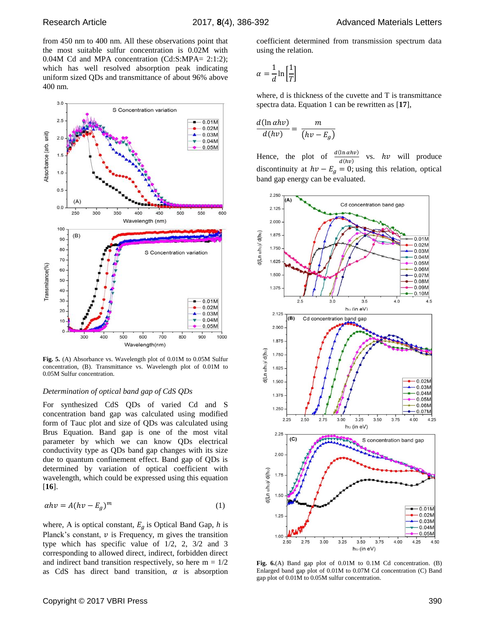from 450 nm to 400 nm. All these observations point that the most suitable sulfur concentration is 0.02M with 0.04M Cd and MPA concentration (Cd:S:MPA= 2:1:2); which has well resolved absorption peak indicating uniform sized QDs and transmittance of about 96% above 400 nm.



**Fig. 5.** (A) Absorbance vs. Wavelength plot of 0.01M to 0.05M Sulfur concentration, (B). Transmittance vs. Wavelength plot of 0.01M to 0.05M Sulfur concentration.

#### *Determination of optical band gap of CdS QDs*

For synthesized CdS QDs of varied Cd and S concentration band gap was calculated using modified form of Tauc plot and size of QDs was calculated using Brus Equation. Band gap is one of the most vital parameter by which we can know QDs electrical conductivity type as QDs band gap changes with its size due to quantum confinement effect. Band gap of QDs is determined by variation of optical coefficient with wavelength, which could be expressed using this equation [**16**].

$$
\alpha h v = A (h v - E_g)^m \tag{1}
$$

where, A is optical constant,  $E<sub>g</sub>$  is Optical Band Gap, *h* is Planck's constant,  $\nu$  is Frequency, m gives the transition type which has specific value of 1/2, 2, 3/2 and 3 corresponding to allowed direct, indirect, forbidden direct and indirect band transition respectively, so here  $m = 1/2$ as CdS has direct band transition,  $\alpha$  is absorption coefficient determined from transmission spectrum data using the relation.

$$
\alpha = \frac{1}{d} \ln \left[ \frac{1}{T} \right]
$$

where, d is thickness of the cuvette and T is transmittance spectra data. Equation 1 can be rewritten as [**17**],

$$
\frac{d(\ln \alpha h v)}{d(hv)} = \frac{m}{(hv - E_g)}
$$

Hence, the plot of  $\frac{d(\ln \alpha h v)}{d(hv)}$ vs.  $hv$  will produce discontinuity at  $hv - E_g = 0$ ; using this relation, optical band gap energy can be evaluated.



**Fig. 6.**(A) Band gap plot of 0.01M to 0.1M Cd concentration. (B) Enlarged band gap plot of 0.01M to 0.07M Cd concentration (C) Band gap plot of 0.01M to 0.05M sulfur concentration.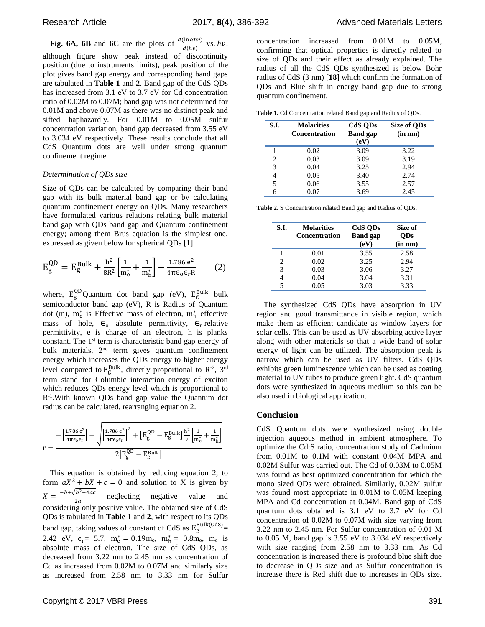**Fig. 6A, 6B** and **6C** are the plots of  $\frac{d(\ln \alpha h\nu)}{d(h\nu)}$  vs.  $h\nu$ , although figure show peak instead of discontinuity position (due to instruments limits), peak position of the plot gives band gap energy and corresponding band gaps are tabulated in **Table 1** and **2**. Band gap of the CdS QDs has increased from 3.1 eV to 3.7 eV for Cd concentration ratio of 0.02M to 0.07M; band gap was not determined for 0.01M and above 0.07M as there was no distinct peak and sifted haphazardly. For 0.01M to 0.05M sulfur concentration variation, band gap decreased from 3.55 eV to 3.034 eV respectively. These results conclude that all CdS Quantum dots are well under strong quantum confinement regime.

#### *Determination of QDs size*

Size of QDs can be calculated by comparing their band gap with its bulk material band gap or by calculating quantum confinement energy on QDs. Many researchers have formulated various relations relating bulk material band gap with QDs band gap and Quantum confinement energy; among them Brus equation is the simplest one, expressed as given below for spherical QDs [**1**].

$$
E_g^{QD} = E_g^{Bulk} + \frac{h^2}{8R^2} \left[ \frac{1}{m_e^*} + \frac{1}{m_h^*} \right] - \frac{1.786 e^2}{4\pi\epsilon_0 \epsilon_r R} \tag{2}
$$

where,  $E_g^{QD}$ Quantum dot band gap (eV),  $E_g^{Bulk}$  bulk semiconductor band gap (eV), R is Radius of Quantum dot (m),  $m_e^*$  is Effective mass of electron,  $m_h^*$  effective mass of hole,  $\epsilon_0$  absolute permittivity,  $\epsilon_r$  relative permittivity, e is charge of an electron, h is planks constant. The  $1<sup>st</sup>$  term is characteristic band gap energy of bulk materials, 2<sup>nd</sup> term gives quantum confinement energy which increases the QDs energy to higher energy level compared to  $E_g^{\text{Bulk}}$ , directly proportional to  $R^{-2}$ , 3<sup>rd</sup> term stand for Columbic interaction energy of exciton which reduces QDs energy level which is proportional to R<sup>-1</sup>. With known QDs band gap value the Quantum dot radius can be calculated, rearranging equation 2.

$$
r = \frac{-\left[\frac{1.786 e^2}{4\pi\epsilon_0\epsilon_r}\right] + \sqrt{\left[\frac{1.786 e^2}{4\pi\epsilon_0\epsilon_r}\right]^2 + \left[E_g^{QD} - E_g^{Bulk}\right]\frac{h^2}{2}\left[\frac{1}{m_e^*} + \frac{1}{m_h^*}\right]}}{2\left[E_g^{QD} - E_g^{Bulk}\right]}
$$

This equation is obtained by reducing equation 2, to form  $aX^2 + bX + c = 0$  and solution to X is given by  $X = \frac{-b + \sqrt{b^2 - 4ac}}{2a}$  $\frac{b^2-4ac}{2a}$  neglecting negative value and considering only positive value. The obtained size of CdS QDs is tabulated in **Table 1** and **2**, with respect to its QDs band gap, taking values of constant of CdS as  $E_g^{\text{Bulk}(CdS)}$  = 2.42 eV,  $\epsilon_r = 5.7$ ,  $m_e^* = 0.19m_o$ ,  $m_h^* = 0.8m_o$ ,  $m_o$  is absolute mass of electron. The size of CdS QDs, as decreased from 3.22 nm to 2.45 nm as concentration of Cd as increased from 0.02M to 0.07M and similarly size as increased from 2.58 nm to 3.33 nm for Sulfur

concentration increased from 0.01M to 0.05M, confirming that optical properties is directly related to size of QDs and their effect as already explained. The radius of all the CdS QDs synthesized is below Bohr radius of CdS (3 nm) [**18**] which confirm the formation of QDs and Blue shift in energy band gap due to strong quantum confinement.

**Table 1.** Cd Concentration related Band gap and Radius of QDs.

| S.I. | <b>Molarities</b><br><b>Concentration</b> | CdS ODs<br><b>Band</b> gap<br>(eV) | Size of ODs<br>$(in \ nm)$ |
|------|-------------------------------------------|------------------------------------|----------------------------|
|      | 0.02                                      | 3.09                               | 3.22                       |
| 2    | 0.03                                      | 3.09                               | 3.19                       |
| 3    | 0.04                                      | 3.25                               | 2.94                       |
| 4    | 0.05                                      | 3.40                               | 2.74                       |
| 5    | 0.06                                      | 3.55                               | 2.57                       |
|      | 0.07                                      | 3.69                               | 2.45                       |

**Table 2.** S Concentration related Band gap and Radius of QDs.

| S.I. | <b>Molarities</b><br><b>Concentration</b> | CdS ODs<br><b>Band</b> gap<br>(eV) | Size of<br>ODs<br>(in nm) |
|------|-------------------------------------------|------------------------------------|---------------------------|
|      | 0.01                                      | 3.55                               | 2.58                      |
| 2    | 0.02                                      | 3.25                               | 2.94                      |
| 3    | 0.03                                      | 3.06                               | 3.27                      |
|      | 0.04                                      | 3.04                               | 3.31                      |
| 5    | 0.05                                      | 3.03                               | 3.33                      |

The synthesized CdS QDs have absorption in UV region and good transmittance in visible region, which make them as efficient candidate as window layers for solar cells. This can be used as UV absorbing active layer along with other materials so that a wide band of solar energy of light can be utilized. The absorption peak is narrow which can be used as UV filters. CdS QDs exhibits green luminescence which can be used as coating material to UV tubes to produce green light. CdS quantum dots were synthesized in aqueous medium so this can be also used in biological application.

#### **Conclusion**

CdS Quantum dots were synthesized using double injection aqueous method in ambient atmosphere. To optimize the Cd:S ratio, concentration study of Cadmium from 0.01M to 0.1M with constant 0.04M MPA and 0.02M Sulfur was carried out. The Cd of 0.03M to 0.05M was found as best optimized concentration for which the mono sized QDs were obtained. Similarly, 0.02M sulfur was found most appropriate in 0.01M to 0.05M keeping MPA and Cd concentration at 0.04M. Band gap of CdS quantum dots obtained is 3.1 eV to 3.7 eV for Cd concentration of 0.02M to 0.07M with size varying from 3.22 nm to 2.45 nm. For Sulfur concentration of 0.01 M to 0.05 M, band gap is 3.55 eV to 3.034 eV respectively with size ranging from 2.58 nm to 3.33 nm. As Cd concentration is increased there is profound blue shift due to decrease in QDs size and as Sulfur concentration is increase there is Red shift due to increases in QDs size.